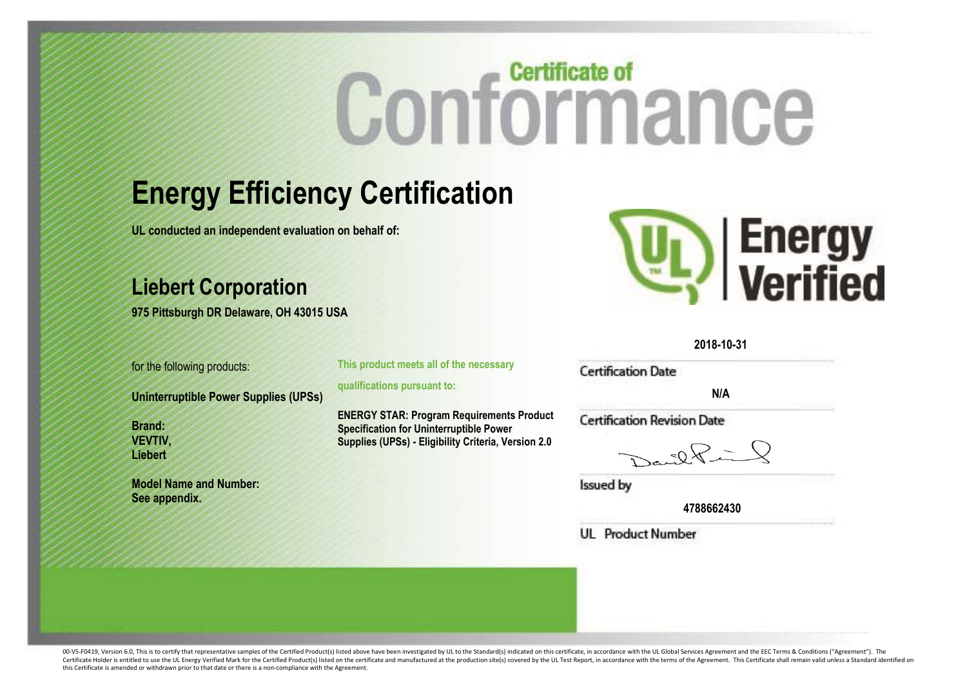# **Certificate of** Conformance

### **Energy Efficiency Certification**

**UL conducted an independent evaluation on behalf of:**

#### **Liebert Corporation**

**975 Pittsburgh DR Delaware, OH 43015 USA**

for the following products:

**Uninterruptible Power Supplies (UPSs)**

**Brand: VEVTIV, Liebert**

**Model Name and Number: See appendix.**

**This product meets all of the necessary** 

**qualifications pursuant to:**

**ENERGY STAR: Program Requirements Product Specification for Uninterruptible Power Supplies (UPSs) - Eligibility Criteria, Version 2.0**



**2018-10-31**

**Certification Date** 

**N/A**

**Certification Revision Date** 

 $-22$ 

**Issued by** 

**4788662430**

**UL** Product Number

00-VS-F0419, Version 6.0. This is to certify that representative samples of the Certified Product(s) listed above have been investigated by UL to the Standard(s) indicated on this certificate, in accordance with the UL Glo Certificate Holder is entitled to use the UL Energy Verified Mark for the Certified Product(s) listed on the certificate and manufactured at the production site(s) covered by the UL Test Report, in accordance with the term this Certificate is amended or withdrawn prior to that date or there is a non-compliance with the Agreement.